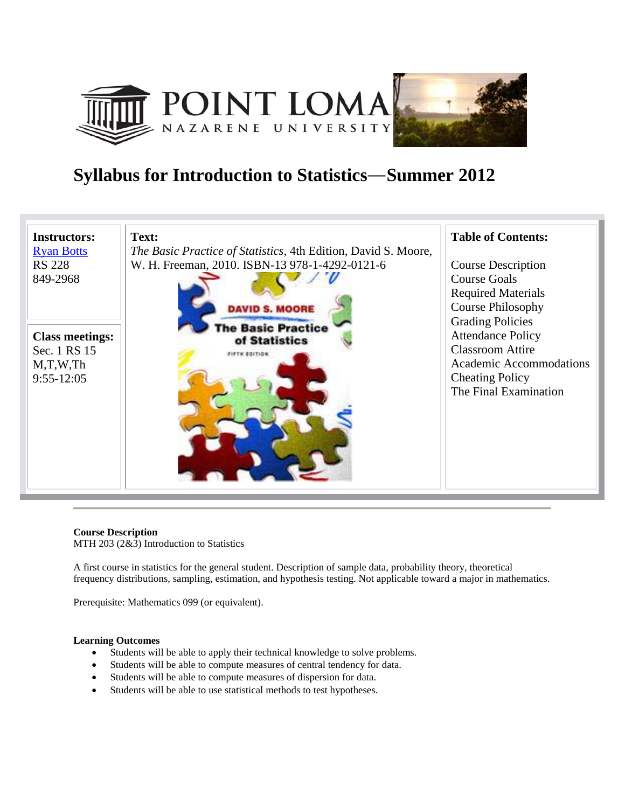





**Course Description**  MTH 203 (2&3) Introduction to Statistics

A first course in statistics for the general student. Description of sample data, probability theory, theoretical frequency distributions, sampling, estimation, and hypothesis testing. Not applicable toward a major in mathematics.

Prerequisite: Mathematics 099 (or equivalent).

# **Learning Outcomes**

- Students will be able to apply their technical knowledge to solve problems.
- Students will be able to compute measures of central tendency for data.
- Students will be able to compute measures of dispersion for data.
- Students will be able to use statistical methods to test hypotheses.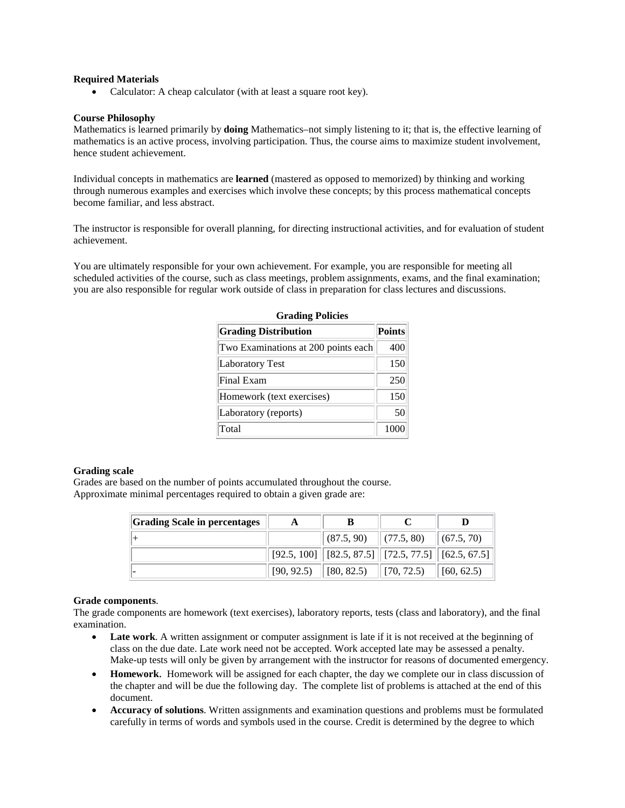# **Required Materials**

• Calculator: A cheap calculator (with at least a square root key).

# **Course Philosophy**

Mathematics is learned primarily by **doing** Mathematics–not simply listening to it; that is, the effective learning of mathematics is an active process, involving participation. Thus, the course aims to maximize student involvement, hence student achievement.

Individual concepts in mathematics are **learned** (mastered as opposed to memorized) by thinking and working through numerous examples and exercises which involve these concepts; by this process mathematical concepts become familiar, and less abstract.

The instructor is responsible for overall planning, for directing instructional activities, and for evaluation of student achievement.

You are ultimately responsible for your own achievement. For example, you are responsible for meeting all scheduled activities of the course, such as class meetings, problem assignments, exams, and the final examination; you are also responsible for regular work outside of class in preparation for class lectures and discussions.

| <b>GLAUME 1 UNLIES</b>              |               |  |  |  |
|-------------------------------------|---------------|--|--|--|
| <b>Grading Distribution</b>         | <b>Points</b> |  |  |  |
| Two Examinations at 200 points each | 400           |  |  |  |
| <b>Laboratory Test</b>              | 150           |  |  |  |
| Final Exam                          | 250           |  |  |  |
| Homework (text exercises)           | 150           |  |  |  |
| Laboratory (reports)                | 50            |  |  |  |
| Total                               | 1000          |  |  |  |

# **Grading Policies**

# **Grading scale**

Grades are based on the number of points accumulated throughout the course. Approximate minimal percentages required to obtain a given grade are:

| <b>Grading Scale in percentages</b> | A          |                     |                                                            |                    |
|-------------------------------------|------------|---------------------|------------------------------------------------------------|--------------------|
|                                     |            |                     | $ (87.5, 90)$ $ (77.5, 80)$ $ (67.5, 70)$                  |                    |
|                                     |            |                     | $[92.5, 100]$ $[82.5, 87.5]$ $[72.5, 77.5]$ $[62.5, 67.5]$ |                    |
|                                     | [90, 92.5) | $\  [ 80, 82.5) \ $ | $\parallel$ [70, 72.5)                                     | $\vert$ [60, 62.5) |

# **Grade components**.

The grade components are homework (text exercises), laboratory reports, tests (class and laboratory), and the final examination.

- Late work. A written assignment or computer assignment is late if it is not received at the beginning of class on the due date. Late work need not be accepted. Work accepted late may be assessed a penalty. Make-up tests will only be given by arrangement with the instructor for reasons of documented emergency.
- **Homework**. Homework will be assigned for each chapter, the day we complete our in class discussion of the chapter and will be due the following day. The complete list of problems is attached at the end of this document.
- **Accuracy of solutions**. Written assignments and examination questions and problems must be formulated carefully in terms of words and symbols used in the course. Credit is determined by the degree to which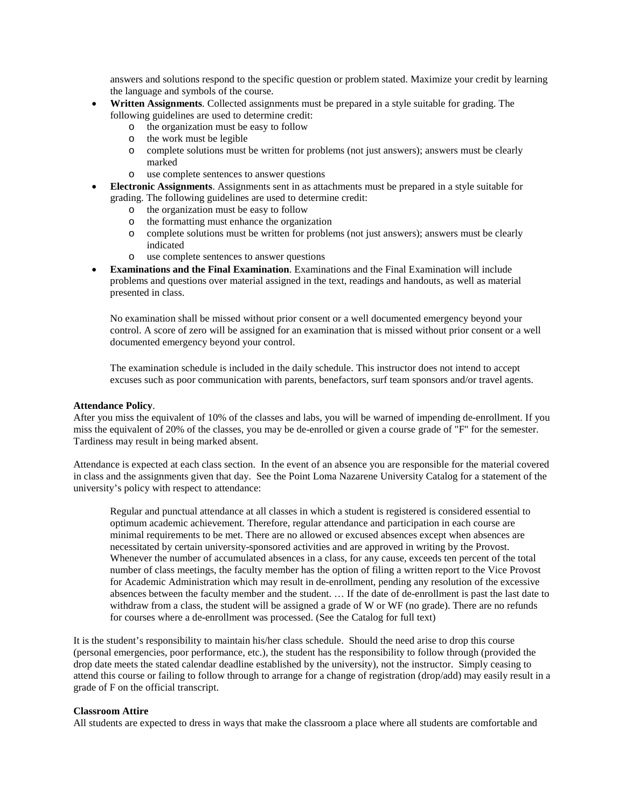answers and solutions respond to the specific question or problem stated. Maximize your credit by learning the language and symbols of the course.

- **Written Assignments**. Collected assignments must be prepared in a style suitable for grading. The following guidelines are used to determine credit:
	- o the organization must be easy to follow
	- o the work must be legible
	- o complete solutions must be written for problems (not just answers); answers must be clearly marked
	- o use complete sentences to answer questions
- **Electronic Assignments**. Assignments sent in as attachments must be prepared in a style suitable for grading. The following guidelines are used to determine credit:
	- o the organization must be easy to follow
	- o the formatting must enhance the organization
	- o complete solutions must be written for problems (not just answers); answers must be clearly indicated
	- o use complete sentences to answer questions
- **Examinations and the Final Examination**. Examinations and the Final Examination will include problems and questions over material assigned in the text, readings and handouts, as well as material presented in class.

No examination shall be missed without prior consent or a well documented emergency beyond your control. A score of zero will be assigned for an examination that is missed without prior consent or a well documented emergency beyond your control.

The examination schedule is included in the daily schedule. This instructor does not intend to accept excuses such as poor communication with parents, benefactors, surf team sponsors and/or travel agents.

#### **Attendance Policy**.

After you miss the equivalent of 10% of the classes and labs, you will be warned of impending de-enrollment. If you miss the equivalent of 20% of the classes, you may be de-enrolled or given a course grade of "F" for the semester. Tardiness may result in being marked absent.

Attendance is expected at each class section. In the event of an absence you are responsible for the material covered in class and the assignments given that day. See the Point Loma Nazarene University Catalog for a statement of the university's policy with respect to attendance:

Regular and punctual attendance at all classes in which a student is registered is considered essential to optimum academic achievement. Therefore, regular attendance and participation in each course are minimal requirements to be met. There are no allowed or excused absences except when absences are necessitated by certain university-sponsored activities and are approved in writing by the Provost. Whenever the number of accumulated absences in a class, for any cause, exceeds ten percent of the total number of class meetings, the faculty member has the option of filing a written report to the Vice Provost for Academic Administration which may result in de-enrollment, pending any resolution of the excessive absences between the faculty member and the student. … If the date of de-enrollment is past the last date to withdraw from a class, the student will be assigned a grade of W or WF (no grade). There are no refunds for courses where a de-enrollment was processed. (See the Catalog for full text)

It is the student's responsibility to maintain his/her class schedule. Should the need arise to drop this course (personal emergencies, poor performance, etc.), the student has the responsibility to follow through (provided the drop date meets the stated calendar deadline established by the university), not the instructor. Simply ceasing to attend this course or failing to follow through to arrange for a change of registration (drop/add) may easily result in a grade of F on the official transcript.

#### **Classroom Attire**

All students are expected to dress in ways that make the classroom a place where all students are comfortable and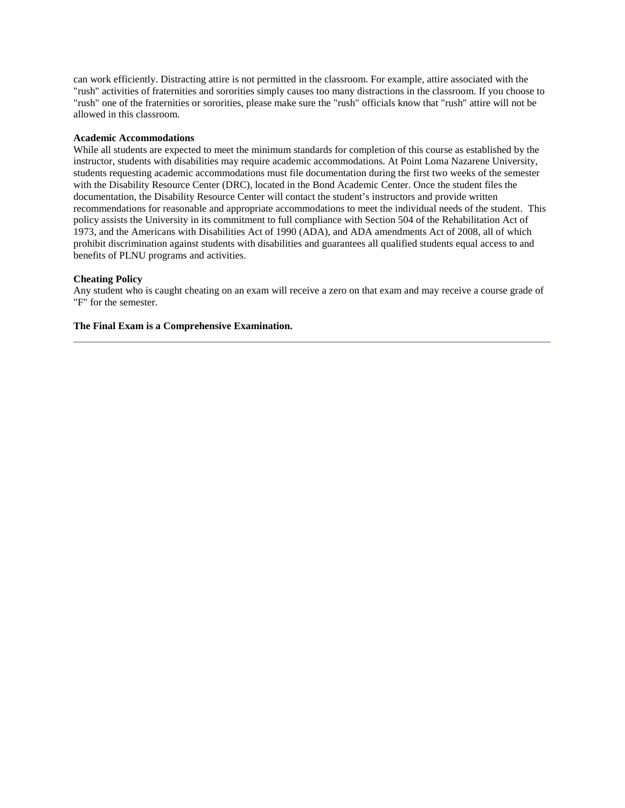can work efficiently. Distracting attire is not permitted in the classroom. For example, attire associated with the "rush" activities of fraternities and sororities simply causes too many distractions in the classroom. If you choose to "rush" one of the fraternities or sororities, please make sure the "rush" officials know that "rush" attire will not be allowed in this classroom.

## **Academic Accommodations**

While all students are expected to meet the minimum standards for completion of this course as established by the instructor, students with disabilities may require academic accommodations. At Point Loma Nazarene University, students requesting academic accommodations must file documentation during the first two weeks of the semester with the Disability Resource Center (DRC), located in the Bond Academic Center. Once the student files the documentation, the Disability Resource Center will contact the student's instructors and provide written recommendations for reasonable and appropriate accommodations to meet the individual needs of the student. This policy assists the University in its commitment to full compliance with Section 504 of the Rehabilitation Act of 1973, and the Americans with Disabilities Act of 1990 (ADA), and ADA amendments Act of 2008, all of which prohibit discrimination against students with disabilities and guarantees all qualified students equal access to and benefits of PLNU programs and activities.

#### **Cheating Policy**

Any student who is caught cheating on an exam will receive a zero on that exam and may receive a course grade of "F" for the semester.

# **The Final Exam is a Comprehensive Examination.**